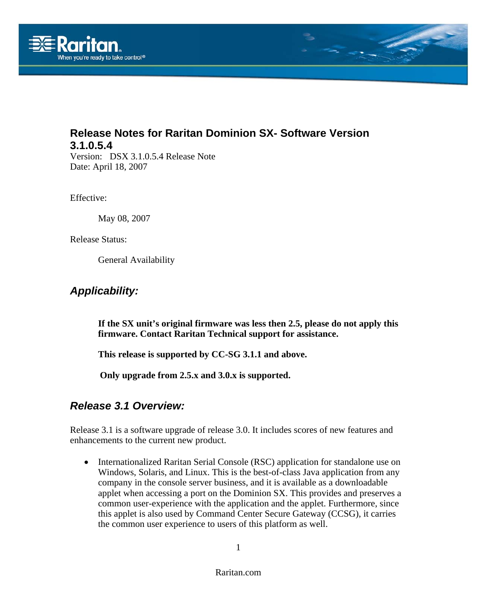

# **Release Notes for Raritan Dominion SX- Software Version 3.1.0.5.4**

Version: DSX 3.1.0.5.4 Release Note Date: April 18, 2007

Effective:

May 08, 2007

Release Status:

General Availability

## *Applicability:*

**If the SX unit's original firmware was less then 2.5, please do not apply this firmware. Contact Raritan Technical support for assistance.** 

**This release is supported by CC-SG 3.1.1 and above.** 

**Only upgrade from 2.5.x and 3.0.x is supported.** 

## *Release 3.1 Overview:*

Release 3.1 is a software upgrade of release 3.0. It includes scores of new features and enhancements to the current new product.

• Internationalized Raritan Serial Console (RSC) application for standalone use on Windows, Solaris, and Linux. This is the best-of-class Java application from any company in the console server business, and it is available as a downloadable applet when accessing a port on the Dominion SX. This provides and preserves a common user-experience with the application and the applet. Furthermore, since this applet is also used by Command Center Secure Gateway (CCSG), it carries the common user experience to users of this platform as well.

1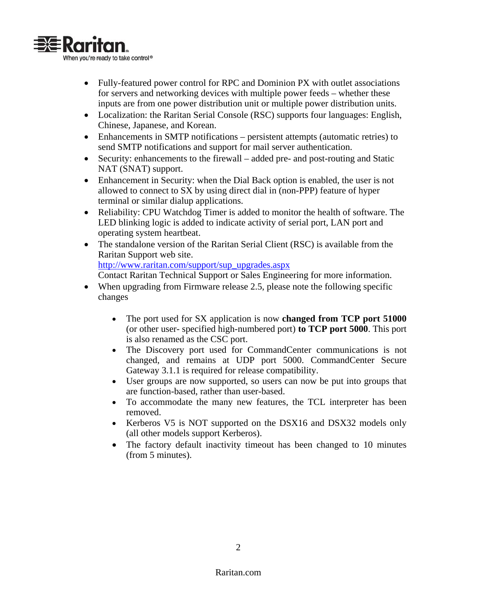

- Fully-featured power control for RPC and Dominion PX with outlet associations for servers and networking devices with multiple power feeds – whether these inputs are from one power distribution unit or multiple power distribution units.
- Localization: the Raritan Serial Console (RSC) supports four languages: English, Chinese, Japanese, and Korean.
- Enhancements in SMTP notifications persistent attempts (automatic retries) to send SMTP notifications and support for mail server authentication.
- Security: enhancements to the firewall added pre- and post-routing and Static NAT (SNAT) support.
- Enhancement in Security: when the Dial Back option is enabled, the user is not allowed to connect to SX by using direct dial in (non-PPP) feature of hyper terminal or similar dialup applications.
- Reliability: CPU Watchdog Timer is added to monitor the health of software. The LED blinking logic is added to indicate activity of serial port, LAN port and operating system heartbeat.
- The standalone version of the Raritan Serial Client (RSC) is available from the Raritan Support web site.

[http://www.raritan.com/support/sup\\_upgrades.aspx](http://www.raritan.com/support/sup_upgrades.aspx)

Contact Raritan Technical Support or Sales Engineering for more information.

- When upgrading from Firmware release 2.5, please note the following specific changes
	- The port used for SX application is now **changed from TCP port 51000**  (or other user- specified high-numbered port) **to TCP port 5000**. This port is also renamed as the CSC port.
	- The Discovery port used for CommandCenter communications is not changed, and remains at UDP port 5000. CommandCenter Secure Gateway 3.1.1 is required for release compatibility.
	- User groups are now supported, so users can now be put into groups that are function-based, rather than user-based.
	- To accommodate the many new features, the TCL interpreter has been removed.
	- Kerberos V5 is NOT supported on the DSX16 and DSX32 models only (all other models support Kerberos).
	- The factory default inactivity timeout has been changed to 10 minutes (from 5 minutes).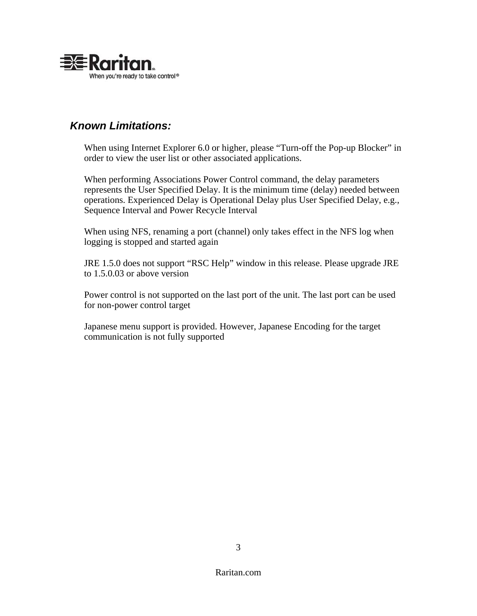

# *Known Limitations:*

When using Internet Explorer 6.0 or higher, please "Turn-off the Pop-up Blocker" in order to view the user list or other associated applications.

When performing Associations Power Control command, the delay parameters represents the User Specified Delay. It is the minimum time (delay) needed between operations. Experienced Delay is Operational Delay plus User Specified Delay, e.g., Sequence Interval and Power Recycle Interval

When using NFS, renaming a port (channel) only takes effect in the NFS log when logging is stopped and started again

JRE 1.5.0 does not support "RSC Help" window in this release. Please upgrade JRE to 1.5.0.03 or above version

Power control is not supported on the last port of the unit. The last port can be used for non-power control target

Japanese menu support is provided. However, Japanese Encoding for the target communication is not fully supported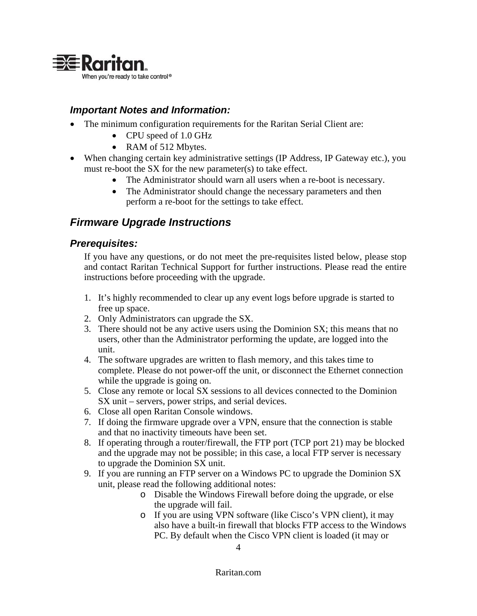

### *Important Notes and Information:*

- The minimum configuration requirements for the Raritan Serial Client are:
	- CPU speed of 1.0 GHz
	- RAM of 512 Mbytes.
- When changing certain key administrative settings (IP Address, IP Gateway etc.), you must re-boot the SX for the new parameter(s) to take effect.
	- The Administrator should warn all users when a re-boot is necessary.
	- The Administrator should change the necessary parameters and then perform a re-boot for the settings to take effect.

# *Firmware Upgrade Instructions*

### *Prerequisites:*

If you have any questions, or do not meet the pre-requisites listed below, please stop and contact Raritan Technical Support for further instructions. Please read the entire instructions before proceeding with the upgrade.

- 1. It's highly recommended to clear up any event logs before upgrade is started to free up space.
- 2. Only Administrators can upgrade the SX.
- 3. There should not be any active users using the Dominion SX; this means that no users, other than the Administrator performing the update, are logged into the unit.
- 4. The software upgrades are written to flash memory, and this takes time to complete. Please do not power-off the unit, or disconnect the Ethernet connection while the upgrade is going on.
- 5. Close any remote or local SX sessions to all devices connected to the Dominion SX unit – servers, power strips, and serial devices.
- 6. Close all open Raritan Console windows.
- 7. If doing the firmware upgrade over a VPN, ensure that the connection is stable and that no inactivity timeouts have been set.
- 8. If operating through a router/firewall, the FTP port (TCP port 21) may be blocked and the upgrade may not be possible; in this case, a local FTP server is necessary to upgrade the Dominion SX unit.
- 9. If you are running an FTP server on a Windows PC to upgrade the Dominion SX unit, please read the following additional notes:
	- o Disable the Windows Firewall before doing the upgrade, or else the upgrade will fail.
	- o If you are using VPN software (like Cisco's VPN client), it may also have a built-in firewall that blocks FTP access to the Windows PC. By default when the Cisco VPN client is loaded (it may or

#### Raritan.com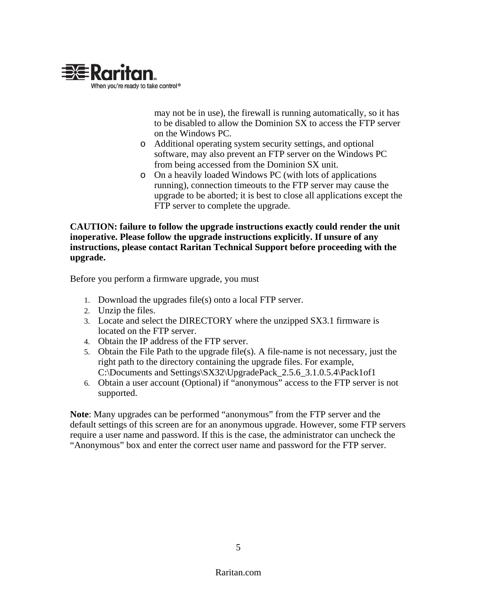

may not be in use), the firewall is running automatically, so it has to be disabled to allow the Dominion SX to access the FTP server on the Windows PC.

- o Additional operating system security settings, and optional software, may also prevent an FTP server on the Windows PC from being accessed from the Dominion SX unit.
- o On a heavily loaded Windows PC (with lots of applications running), connection timeouts to the FTP server may cause the upgrade to be aborted; it is best to close all applications except the FTP server to complete the upgrade.

#### **CAUTION: failure to follow the upgrade instructions exactly could render the unit inoperative. Please follow the upgrade instructions explicitly. If unsure of any instructions, please contact Raritan Technical Support before proceeding with the upgrade.**

Before you perform a firmware upgrade, you must

- 1. Download the upgrades file(s) onto a local FTP server.
- 2. Unzip the files.
- 3. Locate and select the DIRECTORY where the unzipped SX3.1 firmware is located on the FTP server.
- 4. Obtain the IP address of the FTP server.
- 5. Obtain the File Path to the upgrade file(s). A file-name is not necessary, just the right path to the directory containing the upgrade files. For example, C:\Documents and Settings\SX32\UpgradePack\_2.5.6\_3.1.0.5.4\Pack1of1
- 6. Obtain a user account (Optional) if "anonymous" access to the FTP server is not supported.

**Note**: Many upgrades can be performed "anonymous" from the FTP server and the default settings of this screen are for an anonymous upgrade. However, some FTP servers require a user name and password. If this is the case, the administrator can uncheck the "Anonymous" box and enter the correct user name and password for the FTP server.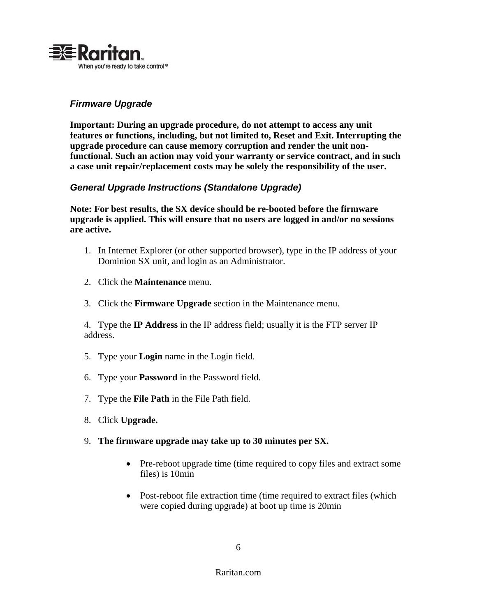

#### *Firmware Upgrade*

**Important: During an upgrade procedure, do not attempt to access any unit features or functions, including, but not limited to, Reset and Exit. Interrupting the upgrade procedure can cause memory corruption and render the unit nonfunctional. Such an action may void your warranty or service contract, and in such a case unit repair/replacement costs may be solely the responsibility of the user.** 

#### *General Upgrade Instructions (Standalone Upgrade)*

**Note: For best results, the SX device should be re-booted before the firmware upgrade is applied. This will ensure that no users are logged in and/or no sessions are active.** 

- 1. In Internet Explorer (or other supported browser), type in the IP address of your Dominion SX unit, and login as an Administrator.
- 2. Click the **Maintenance** menu.
- 3. Click the **Firmware Upgrade** section in the Maintenance menu.

4. Type the **IP Address** in the IP address field; usually it is the FTP server IP address.

- 5. Type your **Login** name in the Login field.
- 6. Type your **Password** in the Password field.
- 7. Type the **File Path** in the File Path field.
- 8. Click **Upgrade.**
- 9. **The firmware upgrade may take up to 30 minutes per SX.**
	- Pre-reboot upgrade time (time required to copy files and extract some files) is 10min
	- Post-reboot file extraction time (time required to extract files (which were copied during upgrade) at boot up time is 20min